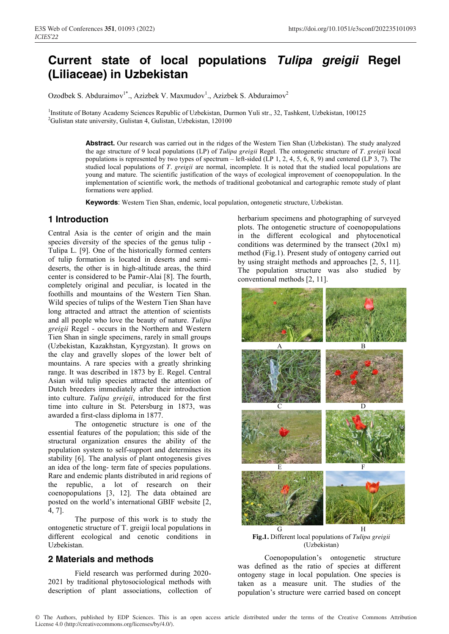# **Current state of local populations** *Tulipa greigii* **Regel (Liliaceae) in Uzbekistan**

Ozodbek S. Abduraimov<sup>1\*</sup>., Azizbek V. Maxmudov<sup>1</sup>., Azizbek S. Abduraimov<sup>2</sup>

<sup>1</sup>Institute of Botany Academy Sciences Republic of Uzbekistan, Durmon Yuli str., 32, Tashkent, Uzbekistan, 100125<br><sup>2</sup>Gulistan state university, Gulistan 4, Gulistan, Uzbekistan, 120100 <sup>2</sup>Gulistan state university, Gulistan 4, Gulistan, Uzbekistan, 120100

> **Abstract.** Our research was carried out in the ridges of the Western Tien Shan (Uzbekistan). The study analyzed the age structure of 9 local populations (LP) of *Tulipa greigii* Regel. The ontogenetic structure of *T. greigii* local populations is represented by two types of spectrum – left-sided (LP 1, 2, 4, 5, 6, 8, 9) and centered (LP 3, 7). The studied local populations of *T. greigii* are normal, incomplete. It is noted that the studied local populations are young and mature. The scientific justification of the ways of ecological improvement of coenopopulation. In the implementation of scientific work, the methods of traditional geobotanical and cartographic remote study of plant formations were applied.

**Keywords**: Western Tien Shan, endemic, local population, ontogenetic structure, Uzbekistan.

# **1 Introduction**

Central Asia is the center of origin and the main species diversity of the species of the genus tulip - Tulipa L. [9]. One of the historically formed centers of tulip formation is located in deserts and semideserts, the other is in high-altitude areas, the third center is considered to be Pamir-Alai [8]. The fourth, completely original and peculiar, is located in the foothills and mountains of the Western Tien Shan. Wild species of tulips of the Western Tien Shan have long attracted and attract the attention of scientists and all people who love the beauty of nature. *Tulipa greigii* Regel - occurs in the Northern and Western Tien Shan in single specimens, rarely in small groups (Uzbekistan, Kazakhstan, Kyrgyzstan). It grows on the clay and gravelly slopes of the lower belt of mountains. A rare species with a greatly shrinking range. It was described in 1873 by E. Regel. Central Asian wild tulip species attracted the attention of Dutch breeders immediately after their introduction into culture. *Tulipa greigii*, introduced for the first time into culture in St. Petersburg in 1873, was awarded a first-class diploma in 1877.

The ontogenetic structure is one of the essential features of the population; this side of the structural organization ensures the ability of the population system to self-support and determines its stability [6]. The analysis of plant ontogenesis gives an idea of the long- term fate of species populations. Rare and endemic plants distributed in arid regions of the republic, a lot of research on their coenopopulations [3, 12]. The data obtained are posted on the world's international GBIF website [2, 4, 7].

The purpose of this work is to study the ontogenetic structure of T. greigii local populations in different ecological and cenotic conditions in Uzbekistan.

## **2 Materials and methods**

Field research was performed during 2020- 2021 by traditional phytosociological methods with description of plant associations, collection of herbarium specimens and photographing of surveyed plots. The ontogenetic structure of coenopopulations in the different ecological and phytocenotical conditions was determined by the transect (20x1 m) method (Fig.1). Present study of ontogeny carried out by using straight methods and approaches [2, 5, 11]. The population structure was also studied by conventional methods [2, 11].



**Fig.1.** Different local populations of *Tulipa greigii* (Uzbekistan)

Coenopopulation's ontogenetic structure was defined as the ratio of species at different ontogeny stage in local population. One species is taken as a measure unit. The studies of the population's structure were carried based on concept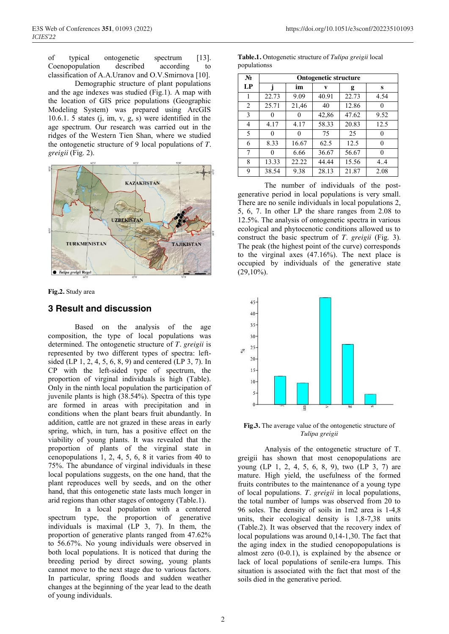of typical ontogenetic spectrum [13]. Coenopopulation described according to classification of A.A.Uranov and O.V.Smirnova [10].

Demographic structure of plant populations and the age indexes was studied (Fig.1). A map with the location of GIS price populations (Geographic Modeling System) was prepared using ArcGIS 10.6.1. 5 states (j, im, v, g, s) were identified in the age spectrum. Our research was carried out in the ridges of the Western Tien Shan, where we studied the ontogenetic structure of 9 local populations of *T. greigii* (Fig. 2).



**Fig.2.** Study area

## **3 Result and discussion**

Based on the analysis of the age composition, the type of local populations was determined. The ontogenetic structure of *T. greigii* is represented by two different types of spectra: leftsided (LP 1, 2, 4, 5, 6, 8, 9) and centered (LP 3, 7). In CP with the left-sided type of spectrum, the proportion of virginal individuals is high (Table). Only in the ninth local population the participation of juvenile plants is high (38.54%). Spectra of this type are formed in areas with precipitation and in conditions when the plant bears fruit abundantly. In addition, cattle are not grazed in these areas in early spring, which, in turn, has a positive effect on the viability of young plants. It was revealed that the proportion of plants of the virginal state in cenopopulations 1, 2, 4, 5, 6, 8 it varies from 40 to 75%. The abundance of virginal individuals in these local populations suggests, on the one hand, that the plant reproduces well by seeds, and on the other hand, that this ontogenetic state lasts much longer in arid regions than other stages of ontogeny (Table.1).

In a local population with a centered spectrum type, the proportion of generative individuals is maximal (LP 3, 7). In them, the proportion of generative plants ranged from 47.62% to 56.67%. No young individuals were observed in both local populations. It is noticed that during the breeding period by direct sowing, young plants cannot move to the next stage due to various factors. In particular, spring floods and sudden weather changes at the beginning of the year lead to the death of young individuals.

| $N_2$ | <b>Ontogenetic structure</b> |       |       |       |      |  |  |  |  |
|-------|------------------------------|-------|-------|-------|------|--|--|--|--|
| LP    |                              | im    | v     | g     | s    |  |  |  |  |
| 1     | 22.73                        | 9.09  | 40.91 | 22.73 | 4.54 |  |  |  |  |
| 2     | 25.71                        | 21,46 | 40    | 12.86 |      |  |  |  |  |
| 3     | 0                            | 0     | 42,86 | 47.62 | 9.52 |  |  |  |  |
| 4     | 4.17                         | 4.17  | 58.33 | 20.83 | 12.5 |  |  |  |  |
| 5     | 0                            | 0     | 75    | 25    |      |  |  |  |  |
| 6     | 8.33                         | 16.67 | 62.5  | 12.5  | 0    |  |  |  |  |
| 7     | 0                            | 6.66  | 36.67 | 56.67 |      |  |  |  |  |
| 8     | 13.33                        | 22.22 | 44.44 | 15.56 | 4.4  |  |  |  |  |
| 9     | 38.54                        | 9.38  | 28.13 | 21.87 | 2.08 |  |  |  |  |

**Table.1.** Ontogenetic structure of *Tulipa greigii* local populationss

The number of individuals of the postgenerative period in local populations is very small. There are no senile individuals in local populations 2, 5, 6, 7. In other LP the share ranges from 2.08 to 12.5%. The analysis of ontogenetic spectra in various ecological and phytocenotic conditions allowed us to construct the basic spectrum of *T. greigii* (Fig. 3). The peak (the highest point of the curve) corresponds to the virginal axes (47.16%). The next place is occupied by individuals of the generative state  $(29,10\%)$ .



**Fig.3.** The average value of the ontogenetic structure of *Tulipa greigii*

Analysis of the ontogenetic structure of T. greigii has shown that most cenopopulations are young (LP 1, 2, 4, 5, 6, 8, 9), two (LP 3, 7) are mature. High yield, the usefulness of the formed fruits contributes to the maintenance of a young type of local populations. *T. greigii* in local populations, the total number of lumps was observed from 20 to 96 soles. The density of soils in 1m2 area is 1-4,8 units, their ecological density is 1,8-7,38 units (Table.2). It was observed that the recovery index of local populations was around 0,14-1,30. The fact that the aging index in the studied cenopopopulations is almost zero (0-0.1), is explained by the absence or lack of local populations of senile-era lumps. This situation is associated with the fact that most of the soils died in the generative period.